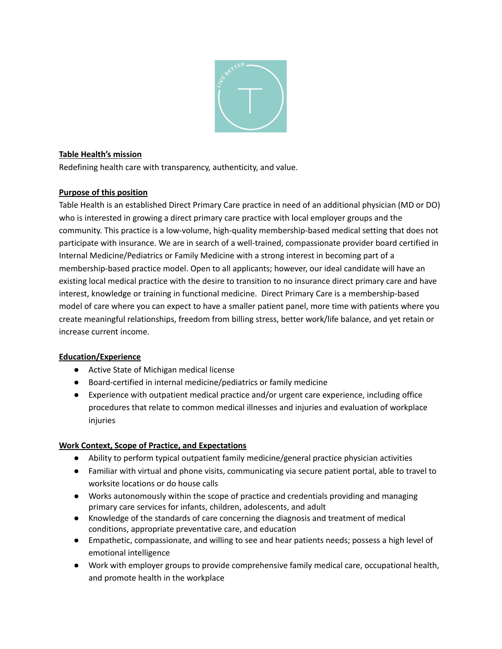

## **Table Health's mission**

Redefining health care with transparency, authenticity, and value.

#### **Purpose of this position**

Table Health is an established Direct Primary Care practice in need of an additional physician (MD or DO) who is interested in growing a direct primary care practice with local employer groups and the community. This practice is a low-volume, high-quality membership-based medical setting that does not participate with insurance. We are in search of a well-trained, compassionate provider board certified in Internal Medicine/Pediatrics or Family Medicine with a strong interest in becoming part of a membership-based practice model. Open to all applicants; however, our ideal candidate will have an existing local medical practice with the desire to transition to no insurance direct primary care and have interest, knowledge or training in functional medicine. Direct Primary Care is a membership-based model of care where you can expect to have a smaller patient panel, more time with patients where you create meaningful relationships, freedom from billing stress, better work/life balance, and yet retain or increase current income.

# **Education/Experience**

- Active State of Michigan medical license
- Board-certified in internal medicine/pediatrics or family medicine
- Experience with outpatient medical practice and/or urgent care experience, including office procedures that relate to common medical illnesses and injuries and evaluation of workplace injuries

#### **Work Context, Scope of Practice, and Expectations**

- Ability to perform typical outpatient family medicine/general practice physician activities
- Familiar with virtual and phone visits, communicating via secure patient portal, able to travel to worksite locations or do house calls
- Works autonomously within the scope of practice and credentials providing and managing primary care services for infants, children, adolescents, and adult
- Knowledge of the standards of care concerning the diagnosis and treatment of medical conditions, appropriate preventative care, and education
- Empathetic, compassionate, and willing to see and hear patients needs; possess a high level of emotional intelligence
- Work with employer groups to provide comprehensive family medical care, occupational health, and promote health in the workplace